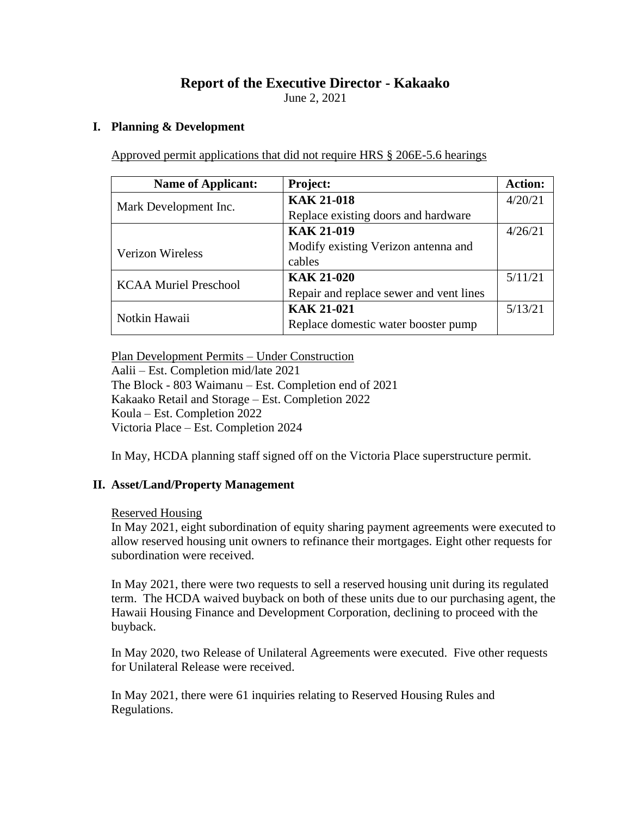# **Report of the Executive Director - Kakaako**

June 2, 2021

### **I. Planning & Development**

Approved permit applications that did not require HRS § 206E-5.6 hearings

| <b>Name of Applicant:</b>    | Project:                                | <b>Action:</b> |
|------------------------------|-----------------------------------------|----------------|
| Mark Development Inc.        | <b>KAK 21-018</b>                       | 4/20/21        |
|                              | Replace existing doors and hardware     |                |
|                              | <b>KAK 21-019</b>                       | 4/26/21        |
| <b>Verizon Wireless</b>      | Modify existing Verizon antenna and     |                |
|                              | cables                                  |                |
| <b>KCAA Muriel Preschool</b> | <b>KAK 21-020</b>                       | 5/11/21        |
|                              | Repair and replace sewer and vent lines |                |
| Notkin Hawaii                | <b>KAK 21-021</b>                       | 5/13/21        |
|                              | Replace domestic water booster pump     |                |

Plan Development Permits – Under Construction Aalii – Est. Completion mid/late 2021 The Block - 803 Waimanu – Est. Completion end of 2021 Kakaako Retail and Storage – Est. Completion 2022 Koula – Est. Completion 2022 Victoria Place – Est. Completion 2024

In May, HCDA planning staff signed off on the Victoria Place superstructure permit.

### **II. Asset/Land/Property Management**

#### Reserved Housing

In May 2021, eight subordination of equity sharing payment agreements were executed to allow reserved housing unit owners to refinance their mortgages. Eight other requests for subordination were received.

In May 2021, there were two requests to sell a reserved housing unit during its regulated term. The HCDA waived buyback on both of these units due to our purchasing agent, the Hawaii Housing Finance and Development Corporation, declining to proceed with the buyback.

In May 2020, two Release of Unilateral Agreements were executed. Five other requests for Unilateral Release were received.

In May 2021, there were 61 inquiries relating to Reserved Housing Rules and Regulations.